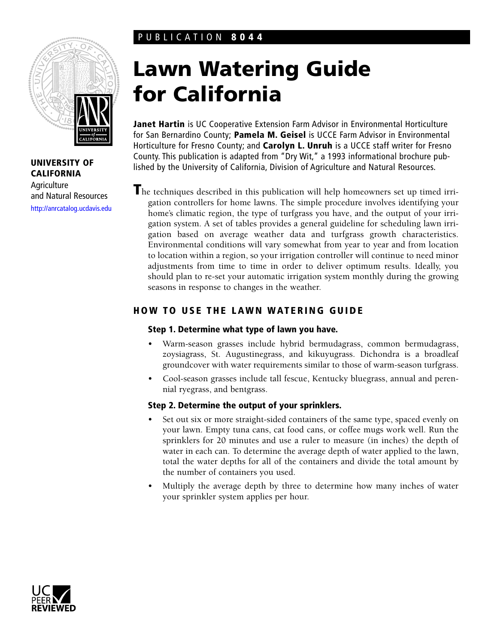# PUBLICATION **8044**



**UNIVERSITY OF CALIFORNIA Agriculture** and Natural Resources <http://anrcatalog.ucdavis.edu>

# **Lawn Watering Guide for California**

**Janet Hartin** is UC Cooperative Extension Farm Advisor in Environmental Horticulture for San Bernardino County; **Pamela M. Geisel** is UCCE Farm Advisor in Environmental Horticulture for Fresno County; and **Carolyn L. Unruh** is a UCCE staff writer for Fresno County. This publication is adapted from "Dry Wit," a 1993 informational brochure published by the University of California, Division of Agriculture and Natural Resources.

**T**he techniques described in this publication will help homeowners set up timed irrigation controllers for home lawns. The simple procedure involves identifying your home's climatic region, the type of turfgrass you have, and the output of your irrigation system. A set of tables provides a general guideline for scheduling lawn irrigation based on average weather data and turfgrass growth characteristics. Environmental conditions will vary somewhat from year to year and from location to location within a region, so your irrigation controller will continue to need minor adjustments from time to time in order to deliver optimum results. Ideally, you should plan to re-set your automatic irrigation system monthly during the growing seasons in response to changes in the weather.

# **HOW TO USE THE LAWN WATERING GUIDE**

## **Step 1. Determine what type of lawn you have.**

- Warm-season grasses include hybrid bermudagrass, common bermudagrass, zoysiagrass, St. Augustinegrass, and kikuyugrass. Dichondra is a broadleaf groundcover with water requirements similar to those of warm-season turfgrass.
- Cool-season grasses include tall fescue, Kentucky bluegrass, annual and perennial ryegrass, and bentgrass.

## **Step 2. Determine the output of your sprinklers.**

- Set out six or more straight-sided containers of the same type, spaced evenly on your lawn. Empty tuna cans, cat food cans, or coffee mugs work well. Run the sprinklers for 20 minutes and use a ruler to measure (in inches) the depth of water in each can. To determine the average depth of water applied to the lawn, total the water depths for all of the containers and divide the total amount by the number of containers you used.
- Multiply the average depth by three to determine how many inches of water your sprinkler system applies per hour.

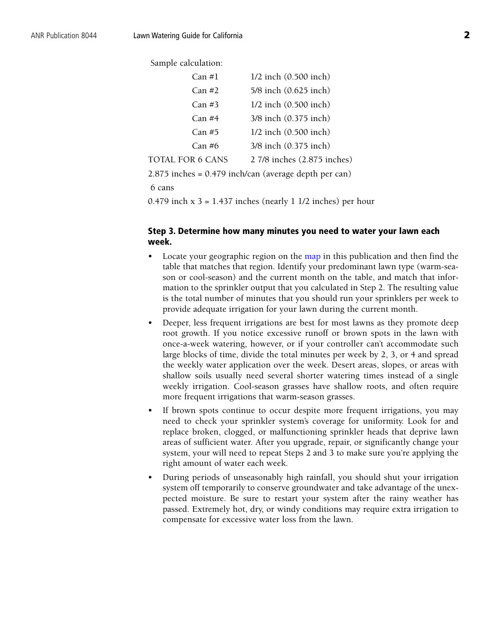Sample calculation:

| Can #1           | $1/2$ inch $(0.500$ inch)   |
|------------------|-----------------------------|
| Can #2           | 5/8 inch (0.625 inch)       |
| Can #3           | $1/2$ inch $(0.500$ inch)   |
| Can #4           | 3/8 inch (0.375 inch)       |
| Can#5            | $1/2$ inch $(0.500$ inch)   |
| Can #6           | 3/8 inch (0.375 inch)       |
| TOTAL FOR 6 CANS | 2 7/8 inches (2.875 inches) |
|                  |                             |

2.875 inches = 0.479 inch/can (average depth per can)

6 cans

0.479 inch  $x$  3 = 1.437 inches (nearly 1 1/2 inches) per hour

## **Step 3. Determine how many minutes you need to water your lawn each week.**

- Locate your geographic region on th[e map](#page-2-0) in this publication and then find the table that matches that region. Identify your predominant lawn type (warm-season or cool-season) and the current month on the table, and match that information to the sprinkler output that you calculated in Step 2. The resulting value is the total number of minutes that you should run your sprinklers per week to provide adequate irrigation for your lawn during the current month.
- Deeper, less frequent irrigations are best for most lawns as they promote deep root growth. If you notice excessive runoff or brown spots in the lawn with once-a-week watering, however, or if your controller can't accommodate such large blocks of time, divide the total minutes per week by 2, 3, or 4 and spread the weekly water application over the week. Desert areas, slopes, or areas with shallow soils usually need several shorter watering times instead of a single weekly irrigation. Cool-season grasses have shallow roots, and often require more frequent irrigations that warm-season grasses.
- If brown spots continue to occur despite more frequent irrigations, you may need to check your sprinkler system's coverage for uniformity. Look for and replace broken, clogged, or malfunctioning sprinkler heads that deprive lawn areas of sufficient water. After you upgrade, repair, or significantly change your system, your will need to repeat Steps 2 and 3 to make sure you're applying the right amount of water each week.
- During periods of unseasonably high rainfall, you should shut your irrigation system off temporarily to conserve groundwater and take advantage of the unexpected moisture. Be sure to restart your system after the rainy weather has passed. Extremely hot, dry, or windy conditions may require extra irrigation to compensate for excessive water loss from the lawn.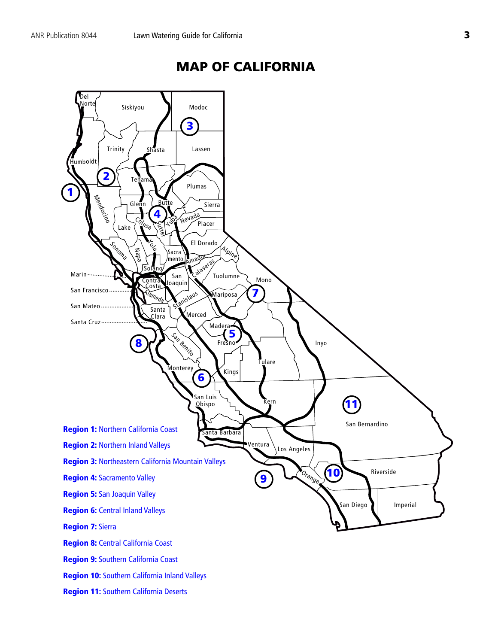<span id="page-2-0"></span>

# **MAP OF CALIFORNIA**

**Region 11:** [Southern California Deserts](#page-8-0)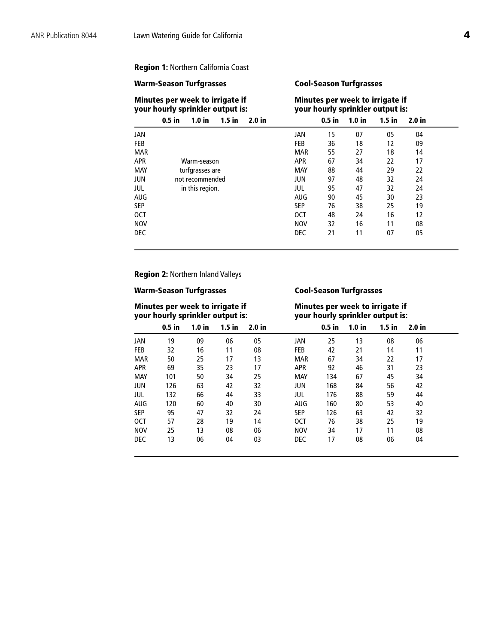### <span id="page-3-0"></span>**Region 1:** Northern California Coast

### **Warm-Season Turfgrasses Cool-Season Turfgrasses**

### **Minutes per week to irrigate if and in the Minutes per week to irrigate if your hourly sprinkler output is: your hourly sprinkler output is: your hourly sprinkler output is:**

|            | $0.5$ in<br>1.0 <sub>in</sub><br>$1.5$ in<br>2.0 <sub>in</sub> |            | $0.5$ in | 1.0 <sub>in</sub> | $1.5$ in | 2.0 <sub>in</sub> |  |
|------------|----------------------------------------------------------------|------------|----------|-------------------|----------|-------------------|--|
| JAN        |                                                                | JAN        | 15       | 07                | 05       | 04                |  |
| <b>FEB</b> |                                                                | <b>FEB</b> | 36       | 18                | 12       | 09                |  |
| <b>MAR</b> |                                                                | <b>MAR</b> | 55       | 27                | 18       | 14                |  |
| <b>APR</b> | Warm-season                                                    | <b>APR</b> | 67       | 34                | 22       | 17                |  |
| MAY        | turfgrasses are                                                | <b>MAY</b> | 88       | 44                | 29       | 22                |  |
| JUN        | not recommended                                                | <b>JUN</b> | 97       | 48                | 32       | 24                |  |
| jul        | in this region.                                                | jul        | 95       | 47                | 32       | 24                |  |
| <b>AUG</b> |                                                                | <b>AUG</b> | 90       | 45                | 30       | 23                |  |
| <b>SEP</b> |                                                                | <b>SEP</b> | 76       | 38                | 25       | 19                |  |
| <b>OCT</b> |                                                                | <b>OCT</b> | 48       | 24                | 16       | 12                |  |
| <b>NOV</b> |                                                                | <b>NOV</b> | 32       | 16                | 11       | 08                |  |
| <b>DEC</b> |                                                                | <b>DEC</b> | 21       | 11                | 07       | 05                |  |

**Region 2:** Northern Inland Valleys

## **Warm-Season Turfgrasses Cool-Season Turfgrasses**

**Minutes per week to irrigate if Theory Minutes per week to irrigate if your hourly sprinkler output is: your hourly sprinkler output is:**

|            | $0.5$ in | 1.0 <sub>in</sub> | $1.5$ in | 2.0 <sub>in</sub> |            | $0.5$ in | 1.0 <sub>in</sub> | $1.5$ in | 2.0 <sub>in</sub> |  |
|------------|----------|-------------------|----------|-------------------|------------|----------|-------------------|----------|-------------------|--|
| JAN        | 19       | 09                | 06       | 05                | JAN        | 25       | 13                | 08       | 06                |  |
| <b>FEB</b> | 32       | 16                | 11       | 08                | <b>FEB</b> | 42       | 21                | 14       | 11                |  |
| <b>MAR</b> | 50       | 25                | 17       | 13                | <b>MAR</b> | 67       | 34                | 22       | 17                |  |
| <b>APR</b> | 69       | 35                | 23       | 17                | <b>APR</b> | 92       | 46                | 31       | 23                |  |
| <b>MAY</b> | 101      | 50                | 34       | 25                | <b>MAY</b> | 134      | 67                | 45       | 34                |  |
| JUN        | 126      | 63                | 42       | 32                | JUN        | 168      | 84                | 56       | 42                |  |
| JUL        | 132      | 66                | 44       | 33                | jul        | 176      | 88                | 59       | 44                |  |
| <b>AUG</b> | 120      | 60                | 40       | 30                | <b>AUG</b> | 160      | 80                | 53       | 40                |  |
| <b>SEP</b> | 95       | 47                | 32       | 24                | <b>SEP</b> | 126      | 63                | 42       | 32                |  |
| <b>OCT</b> | 57       | 28                | 19       | 14                | 0CT        | 76       | 38                | 25       | 19                |  |
| <b>NOV</b> | 25       | 13                | 08       | 06                | <b>NOV</b> | 34       | 17                | 11       | 08                |  |
| <b>DEC</b> | 13       | 06                | 04       | 03                | <b>DEC</b> | 17       | 08                | 06       | 04                |  |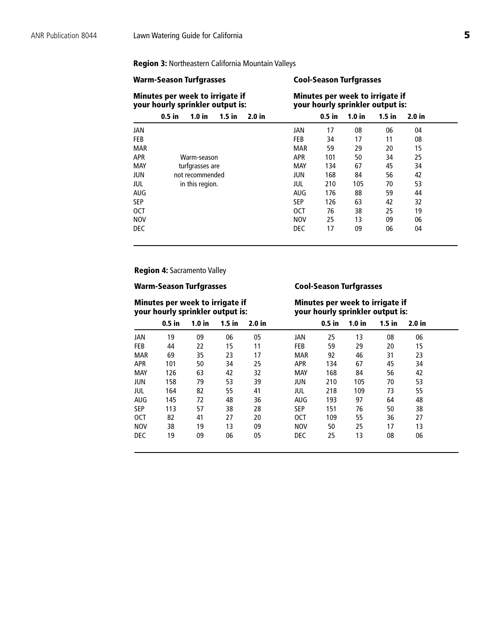### <span id="page-4-0"></span>**Region 3:** Northeastern California Mountain Valleys

## **Warm-Season Turfgrasses Cool-Season Turfgrasses Minutes per week to irrigate if and Minutes per week to irrigate if your hourly sprinkler output is: your hourly sprinkler output is: your hourly sprinkler output is: 0.5 in 1.0 in 1.5 in 2.0 in 0.5 in 1.0 in 1.5 in 2.0 in** JAN JAN 17 08 06 04 FEB FEB 34 17 11 08 MAR MAR 59 29 20 15 APR Warm-season APR 101 50 34 25 MAY 134 67 45 34<br>
12 MAY 134 67 45 34<br>
168 84 56 42 not recommended 1000 UN 168 84 56 42<br>in this region. 105 53 JUL in this region. JUL 210 105 70 AUG AUG 176 88 59 44 SEP SEP 126 63 42 32 OCT OCT 76 38 25 19 NOV NOV 25 13 09 06 DEC DEC 17 09 06 04

### **Region 4:** Sacramento Valley

### **Warm-Season Turfgrasses Cool-Season Turfgrasses**

# **Minutes per week to irrigate if and Minutes per week to irrigate if your hourly sprinkler output is:**

# **your hourly sprinkler output is: your hourly sprinkler output is:**

|            | $0.5$ in | 1.0 <sub>in</sub> | $1.5$ in | 2.0 <sub>in</sub> |            | $0.5$ in | 1.0 <sub>in</sub> | $1.5$ in | 2.0 in |  |
|------------|----------|-------------------|----------|-------------------|------------|----------|-------------------|----------|--------|--|
| <b>JAN</b> | 19       | 09                | 06       | 05                | JAN        | 25       | 13                | 08       | 06     |  |
| <b>FEB</b> | 44       | 22                | 15       | 11                | <b>FEB</b> | 59       | 29                | 20       | 15     |  |
| <b>MAR</b> | 69       | 35                | 23       | 17                | <b>MAR</b> | 92       | 46                | 31       | 23     |  |
| <b>APR</b> | 101      | 50                | 34       | 25                | <b>APR</b> | 134      | 67                | 45       | 34     |  |
| <b>MAY</b> | 126      | 63                | 42       | 32                | <b>MAY</b> | 168      | 84                | 56       | 42     |  |
| <b>JUN</b> | 158      | 79                | 53       | 39                | <b>JUN</b> | 210      | 105               | 70       | 53     |  |
| JUL        | 164      | 82                | 55       | 41                | JUL        | 218      | 109               | 73       | 55     |  |
| <b>AUG</b> | 145      | 72                | 48       | 36                | <b>AUG</b> | 193      | 97                | 64       | 48     |  |
| <b>SEP</b> | 113      | 57                | 38       | 28                | <b>SEP</b> | 151      | 76                | 50       | 38     |  |
| 0CT        | 82       | 41                | 27       | 20                | <b>OCT</b> | 109      | 55                | 36       | 27     |  |
| <b>NOV</b> | 38       | 19                | 13       | 09                | <b>NOV</b> | 50       | 25                | 17       | 13     |  |
| <b>DEC</b> | 19       | 09                | 06       | 05                | <b>DEC</b> | 25       | 13                | 08       | 06     |  |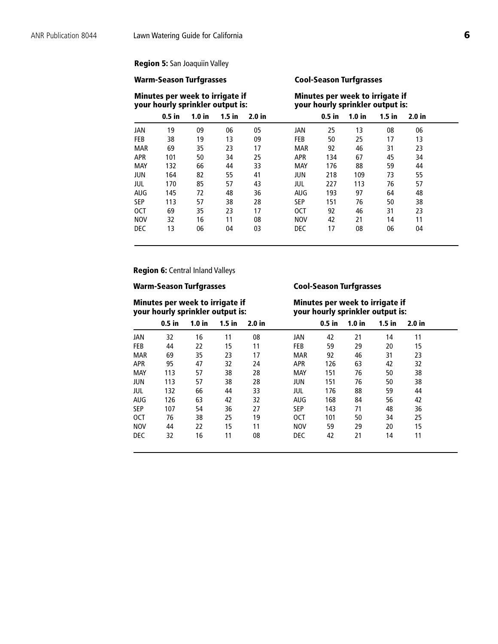## <span id="page-5-0"></span>**Region 5:** San Joaquiin Valley

### **Warm-Season Turfgrasses Cool-Season Turfgrasses**

# **Minutes per week to irrigate if Minutes per week to irrigate if**

|            | your hourly sprinkler output is: |                   |          |                   |            |          |                   | your hourly sprinkler output is: |                   |  |
|------------|----------------------------------|-------------------|----------|-------------------|------------|----------|-------------------|----------------------------------|-------------------|--|
|            | $0.5$ in                         | 1.0 <sub>in</sub> | $1.5$ in | 2.0 <sub>in</sub> |            | $0.5$ in | 1.0 <sub>in</sub> | $1.5$ in                         | 2.0 <sub>in</sub> |  |
| JAN        | 19                               | 09                | 06       | 05                | JAN        | 25       | 13                | 08                               | 06                |  |
| <b>FEB</b> | 38                               | 19                | 13       | 09                | <b>FEB</b> | 50       | 25                | 17                               | 13                |  |
| <b>MAR</b> | 69                               | 35                | 23       | 17                | <b>MAR</b> | 92       | 46                | 31                               | 23                |  |
| <b>APR</b> | 101                              | 50                | 34       | 25                | <b>APR</b> | 134      | 67                | 45                               | 34                |  |
| MAY        | 132                              | 66                | 44       | 33                | <b>MAY</b> | 176      | 88                | 59                               | 44                |  |
| <b>JUN</b> | 164                              | 82                | 55       | 41                | JUN        | 218      | 109               | 73                               | 55                |  |
| JUL        | 170                              | 85                | 57       | 43                | jul        | 227      | 113               | 76                               | 57                |  |
| AUG        | 145                              | 72                | 48       | 36                | AUG        | 193      | 97                | 64                               | 48                |  |
| <b>SEP</b> | 113                              | 57                | 38       | 28                | <b>SEP</b> | 151      | 76                | 50                               | 38                |  |
| <b>OCT</b> | 69                               | 35                | 23       | 17                | <b>OCT</b> | 92       | 46                | 31                               | 23                |  |
| <b>NOV</b> | 32                               | 16                | 11       | 08                | <b>NOV</b> | 42       | 21                | 14                               | 11                |  |
| <b>DEC</b> | 13                               | 06                | 04       | 03                | <b>DEC</b> | 17       | 08                | 06                               | 04                |  |

## **Region 6:** Central Inland Valleys

# **Minutes per week to irrigate if and Minutes per week to irrigate if your hourly sprinkler output is:**

### **Warm-Season Turfgrasses Cool-Season Turfgrasses**

# **your hourly sprinkler output is: your hourly sprinkler output is:**

|            | $0.5$ in | 1.0 <sub>in</sub> | $1.5$ in | 2.0 <sub>in</sub> |            | $0.5$ in | 1.0 <sub>in</sub> | $1.5$ in | 2.0 <sub>in</sub> |  |
|------------|----------|-------------------|----------|-------------------|------------|----------|-------------------|----------|-------------------|--|
| <b>JAN</b> | 32       | 16                | 11       | 08                | JAN        | 42       | 21                | 14       | 11                |  |
| <b>FEB</b> | 44       | 22                | 15       | 11                | <b>FEB</b> | 59       | 29                | 20       | 15                |  |
| <b>MAR</b> | 69       | 35                | 23       | 17                | <b>MAR</b> | 92       | 46                | 31       | 23                |  |
| <b>APR</b> | 95       | 47                | 32       | 24                | <b>APR</b> | 126      | 63                | 42       | 32                |  |
| <b>MAY</b> | 113      | 57                | 38       | 28                | <b>MAY</b> | 151      | 76                | 50       | 38                |  |
| <b>JUN</b> | 113      | 57                | 38       | 28                | JUN        | 151      | 76                | 50       | 38                |  |
| jul        | 132      | 66                | 44       | 33                | jul        | 176      | 88                | 59       | 44                |  |
| <b>AUG</b> | 126      | 63                | 42       | 32                | <b>AUG</b> | 168      | 84                | 56       | 42                |  |
| <b>SEP</b> | 107      | 54                | 36       | 27                | <b>SEP</b> | 143      | 71                | 48       | 36                |  |
| <b>OCT</b> | 76       | 38                | 25       | 19                | <b>OCT</b> | 101      | 50                | 34       | 25                |  |
| <b>NOV</b> | 44       | 22                | 15       | 11                | <b>NOV</b> | 59       | 29                | 20       | 15                |  |
| <b>DEC</b> | 32       | 16                | 11       | 08                | <b>DEC</b> | 42       | 21                | 14       | 11                |  |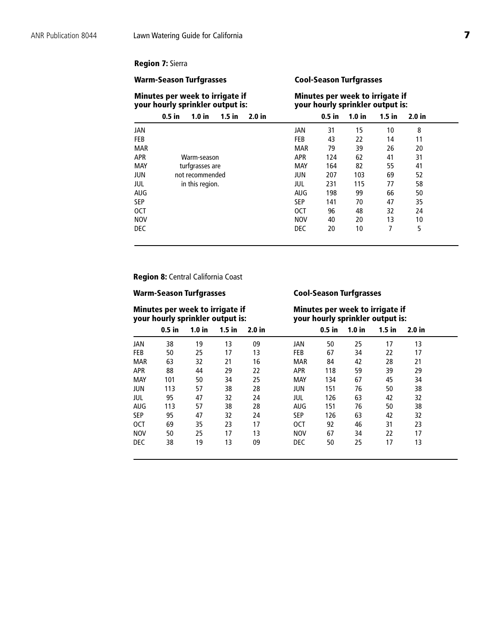## <span id="page-6-0"></span>**Region 7:** Sierra

### **Warm-Season Turfgrasses Cool-Season Turfgrasses**

|            | Minutes per week to irrigate if<br>your hourly sprinkler output is: |            |          |                   | Minutes per week to irrigate if<br>your hourly sprinkler output is: |                   |  |
|------------|---------------------------------------------------------------------|------------|----------|-------------------|---------------------------------------------------------------------|-------------------|--|
|            | $0.5$ in<br>1.0 <sub>in</sub><br>$1.5$ in<br>2.0 in                 |            | $0.5$ in | 1.0 <sub>in</sub> | $1.5$ in                                                            | 2.0 <sub>in</sub> |  |
| <b>JAN</b> |                                                                     | JAN        | 31       | 15                | 10                                                                  | 8                 |  |
| <b>FEB</b> |                                                                     | <b>FEB</b> | 43       | 22                | 14                                                                  | 11                |  |
| <b>MAR</b> |                                                                     | <b>MAR</b> | 79       | 39                | 26                                                                  | 20                |  |
| <b>APR</b> | Warm-season                                                         | <b>APR</b> | 124      | 62                | 41                                                                  | 31                |  |
| MAY        | turfgrasses are                                                     | MAY        | 164      | 82                | 55                                                                  | 41                |  |
| JUN        | not recommended                                                     | JUN        | 207      | 103               | 69                                                                  | 52                |  |
| JUL        | in this region.                                                     | JUL        | 231      | 115               | 77                                                                  | 58                |  |
| AUG        |                                                                     | <b>AUG</b> | 198      | 99                | 66                                                                  | 50                |  |
| <b>SEP</b> |                                                                     | <b>SEP</b> | 141      | 70                | 47                                                                  | 35                |  |
| <b>OCT</b> |                                                                     | <b>OCT</b> | 96       | 48                | 32                                                                  | 24                |  |
| <b>NOV</b> |                                                                     | <b>NOV</b> | 40       | 20                | 13                                                                  | 10                |  |
| <b>DEC</b> |                                                                     | <b>DEC</b> | 20       | 10                | 7                                                                   | 5                 |  |

**Region 8:** Central California Coast

## **Warm-Season Turfgrasses Cool-Season Turfgrasses**

### **Minutes per week to irrigate if and Minutes per week to irrigate if your hourly sprinkler output is: your hourly sprinkler output is: your hourly sprinkler output is:**

|            | $0.5$ in | 1.0 <sub>in</sub> | $1.5$ in | 2.0 <sub>in</sub> |            | $0.5$ in | 1.0 <sub>in</sub> | $1.5$ in | 2.0 <sub>in</sub> |  |
|------------|----------|-------------------|----------|-------------------|------------|----------|-------------------|----------|-------------------|--|
| JAN        | 38       | 19                | 13       | 09                | JAN        | 50       | 25                | 17       | 13                |  |
| <b>FEB</b> | 50       | 25                | 17       | 13                | <b>FEB</b> | 67       | 34                | 22       | 17                |  |
| <b>MAR</b> | 63       | 32                | 21       | 16                | <b>MAR</b> | 84       | 42                | 28       | 21                |  |
| <b>APR</b> | 88       | 44                | 29       | 22                | <b>APR</b> | 118      | 59                | 39       | 29                |  |
| <b>MAY</b> | 101      | 50                | 34       | 25                | <b>MAY</b> | 134      | 67                | 45       | 34                |  |
| JUN        | 113      | 57                | 38       | 28                | JUN        | 151      | 76                | 50       | 38                |  |
| JUL        | 95       | 47                | 32       | 24                | jul        | 126      | 63                | 42       | 32                |  |
| AUG        | 113      | 57                | 38       | 28                | <b>AUG</b> | 151      | 76                | 50       | 38                |  |
| <b>SEP</b> | 95       | 47                | 32       | 24                | <b>SEP</b> | 126      | 63                | 42       | 32                |  |
| <b>OCT</b> | 69       | 35                | 23       | 17                | 0CT        | 92       | 46                | 31       | 23                |  |
| <b>NOV</b> | 50       | 25                | 17       | 13                | <b>NOV</b> | 67       | 34                | 22       | 17                |  |
| <b>DEC</b> | 38       | 19                | 13       | 09                | DEC        | 50       | 25                | 17       | 13                |  |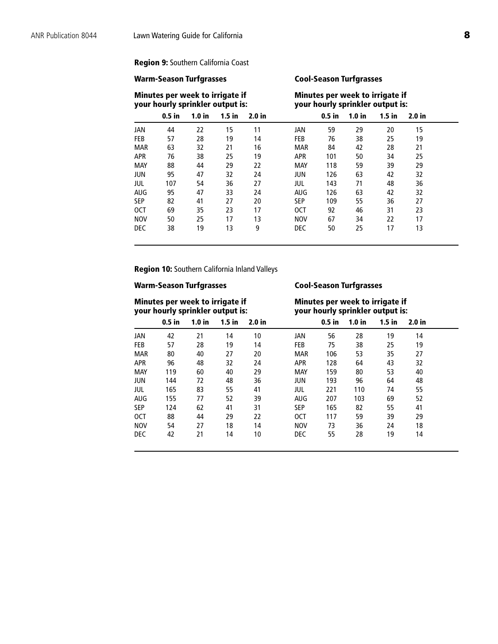## <span id="page-7-0"></span>**Region 9:** Southern California Coast

### **Warm-Season Turfgrasses Cool-Season Turfgrasses**

|            | Minutes per week to irrigate if<br>your hourly sprinkler output is: |                   |          |                   |            |          |                   | Minutes per week to irrigate if<br>your hourly sprinkler output is: |        |  |
|------------|---------------------------------------------------------------------|-------------------|----------|-------------------|------------|----------|-------------------|---------------------------------------------------------------------|--------|--|
|            | $0.5$ in                                                            | 1.0 <sub>in</sub> | $1.5$ in | 2.0 <sub>in</sub> |            | $0.5$ in | 1.0 <sub>in</sub> | $1.5$ in                                                            | 2.0 in |  |
| JAN        | 44                                                                  | 22                | 15       | 11                | JAN        | 59       | 29                | 20                                                                  | 15     |  |
| <b>FEB</b> | 57                                                                  | 28                | 19       | 14                | <b>FEB</b> | 76       | 38                | 25                                                                  | 19     |  |
| <b>MAR</b> | 63                                                                  | 32                | 21       | 16                | <b>MAR</b> | 84       | 42                | 28                                                                  | 21     |  |
| <b>APR</b> | 76                                                                  | 38                | 25       | 19                | <b>APR</b> | 101      | 50                | 34                                                                  | 25     |  |
| <b>MAY</b> | 88                                                                  | 44                | 29       | 22                | <b>MAY</b> | 118      | 59                | 39                                                                  | 29     |  |
| JUN        | 95                                                                  | 47                | 32       | 24                | <b>JUN</b> | 126      | 63                | 42                                                                  | 32     |  |
| JUL        | 107                                                                 | 54                | 36       | 27                | jul        | 143      | 71                | 48                                                                  | 36     |  |
| <b>AUG</b> | 95                                                                  | 47                | 33       | 24                | AUG        | 126      | 63                | 42                                                                  | 32     |  |
| <b>SEP</b> | 82                                                                  | 41                | 27       | 20                | <b>SEP</b> | 109      | 55                | 36                                                                  | 27     |  |
| <b>OCT</b> | 69                                                                  | 35                | 23       | 17                | <b>OCT</b> | 92       | 46                | 31                                                                  | 23     |  |
| <b>NOV</b> | 50                                                                  | 25                | 17       | 13                | <b>NOV</b> | 67       | 34                | 22                                                                  | 17     |  |
| <b>DEC</b> | 38                                                                  | 19                | 13       | 9                 | <b>DEC</b> | 50       | 25                | 17                                                                  | 13     |  |

**Region 10:** Southern California Inland Valleys

## **Warm-Season Turfgrasses Cool-Season Turfgrasses**

**Minutes per week to irrigate if and increase if the Minutes per week to irrigate if your hourly sprinkler output is: your hourly sprinkler output is: your hourly sprinkler output is:**

|            | $0.5$ in | 1.0 <sub>in</sub> | $1.5$ in | 2.0 <sub>in</sub> |            | $0.5$ in | 1.0 <sub>in</sub> | $1.5$ in | 2.0 <sub>in</sub> |  |
|------------|----------|-------------------|----------|-------------------|------------|----------|-------------------|----------|-------------------|--|
| JAN        | 42       | 21                | 14       | 10                | JAN        | 56       | 28                | 19       | 14                |  |
| FEB        | 57       | 28                | 19       | 14                | <b>FEB</b> | 75       | 38                | 25       | 19                |  |
| <b>MAR</b> | 80       | 40                | 27       | 20                | <b>MAR</b> | 106      | 53                | 35       | 27                |  |
| <b>APR</b> | 96       | 48                | 32       | 24                | <b>APR</b> | 128      | 64                | 43       | 32                |  |
| <b>MAY</b> | 119      | 60                | 40       | 29                | <b>MAY</b> | 159      | 80                | 53       | 40                |  |
| JUN        | 144      | 72                | 48       | 36                | <b>JUN</b> | 193      | 96                | 64       | 48                |  |
| JUL        | 165      | 83                | 55       | 41                | JUL        | 221      | 110               | 74       | 55                |  |
| <b>AUG</b> | 155      | 77                | 52       | 39                | <b>AUG</b> | 207      | 103               | 69       | 52                |  |
| <b>SEP</b> | 124      | 62                | 41       | 31                | <b>SEP</b> | 165      | 82                | 55       | 41                |  |
| <b>OCT</b> | 88       | 44                | 29       | 22                | <b>OCT</b> | 117      | 59                | 39       | 29                |  |
| <b>NOV</b> | 54       | 27                | 18       | 14                | <b>NOV</b> | 73       | 36                | 24       | 18                |  |
| <b>DEC</b> | 42       | 21                | 14       | 10                | <b>DEC</b> | 55       | 28                | 19       | 14                |  |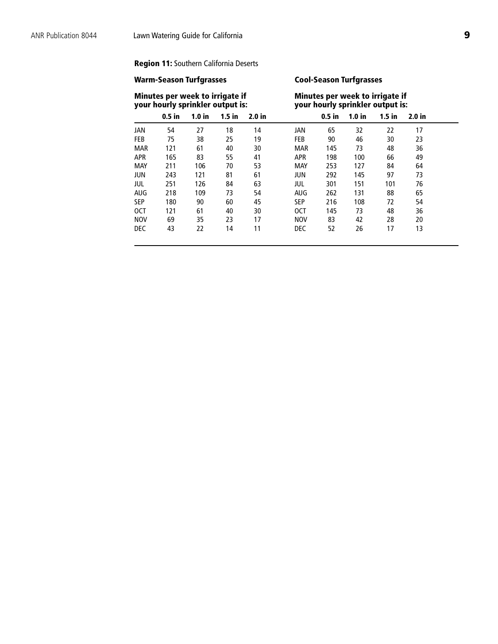## <span id="page-8-0"></span>**Region 11:** Southern California Deserts

## **Warm-Season Turfgrasses Cool-Season Turfgrasses**

|            | Minutes per week to irrigate if<br>your hourly sprinkler output is: |                   |          |        |            |          |                   | Minutes per week to irrigate if<br>your hourly sprinkler output is: |                   |  |
|------------|---------------------------------------------------------------------|-------------------|----------|--------|------------|----------|-------------------|---------------------------------------------------------------------|-------------------|--|
|            | $0.5$ in                                                            | 1.0 <sub>in</sub> | $1.5$ in | 2.0 in |            | $0.5$ in | 1.0 <sub>in</sub> | $1.5$ in                                                            | 2.0 <sub>in</sub> |  |
| JAN        | 54                                                                  | 27                | 18       | 14     | JAN        | 65       | 32                | 22                                                                  | 17                |  |
| <b>FEB</b> | 75                                                                  | 38                | 25       | 19     | <b>FEB</b> | 90       | 46                | 30                                                                  | 23                |  |
| <b>MAR</b> | 121                                                                 | 61                | 40       | 30     | <b>MAR</b> | 145      | 73                | 48                                                                  | 36                |  |
| <b>APR</b> | 165                                                                 | 83                | 55       | 41     | <b>APR</b> | 198      | 100               | 66                                                                  | 49                |  |
| MAY        | 211                                                                 | 106               | 70       | 53     | MAY        | 253      | 127               | 84                                                                  | 64                |  |
| <b>JUN</b> | 243                                                                 | 121               | 81       | 61     | JUN        | 292      | 145               | 97                                                                  | 73                |  |
| jul        | 251                                                                 | 126               | 84       | 63     | jul        | 301      | 151               | 101                                                                 | 76                |  |
| AUG        | 218                                                                 | 109               | 73       | 54     | <b>AUG</b> | 262      | 131               | 88                                                                  | 65                |  |
| <b>SEP</b> | 180                                                                 | 90                | 60       | 45     | SEP        | 216      | 108               | 72                                                                  | 54                |  |
| <b>OCT</b> | 121                                                                 | 61                | 40       | 30     | <b>OCT</b> | 145      | 73                | 48                                                                  | 36                |  |
| <b>NOV</b> | 69                                                                  | 35                | 23       | 17     | <b>NOV</b> | 83       | 42                | 28                                                                  | 20                |  |
| <b>DEC</b> | 43                                                                  | 22                | 14       | 11     | <b>DEC</b> | 52       | 26                | 17                                                                  | 13                |  |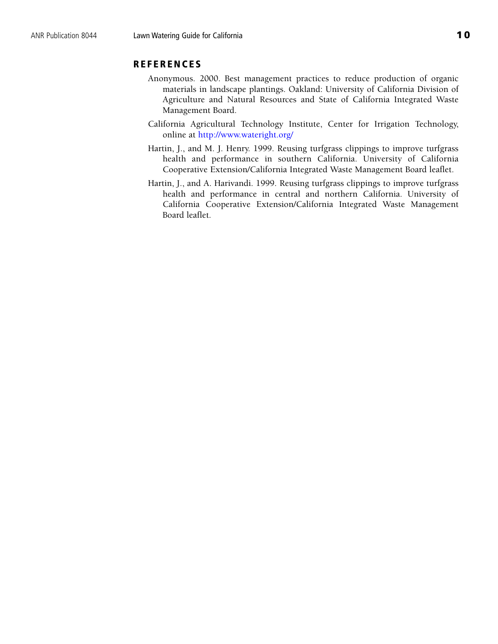## **REFERENCES**

- Anonymous. 2000. Best management practices to reduce production of organic materials in landscape plantings. Oakland: University of California Division of Agriculture and Natural Resources and State of California Integrated Waste Management Board.
- California Agricultural Technology Institute, Center for Irrigation Technology, online a[t http://www.wateright.org/](http://www.wateright.org/)
- Hartin, J., and M. J. Henry. 1999. Reusing turfgrass clippings to improve turfgrass health and performance in southern California. University of California Cooperative Extension/California Integrated Waste Management Board leaflet.
- Hartin, J., and A. Harivandi. 1999. Reusing turfgrass clippings to improve turfgrass health and performance in central and northern California. University of California Cooperative Extension/California Integrated Waste Management Board leaflet.